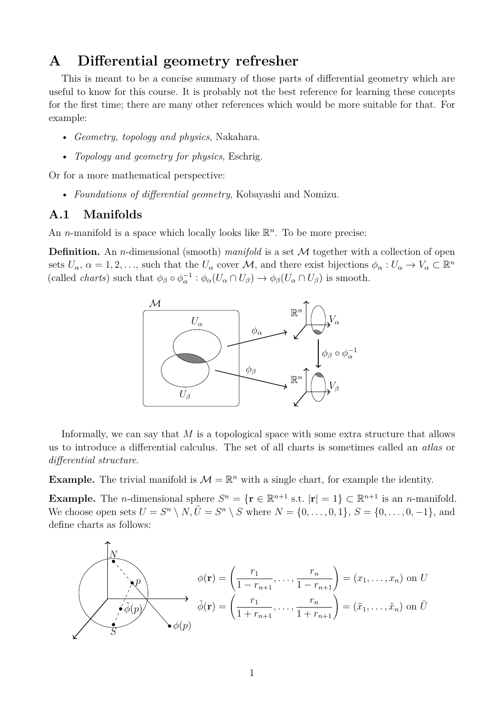# **A Differential geometry refresher**

This is meant to be a concise summary of those parts of differential geometry which are useful to know for this course. It is probably not the best reference for learning these concepts for the first time; there are many other references which would be more suitable for that. For example:

- *Geometry, topology and physics*, Nakahara.
- *Topology and geometry for physics*, Eschrig.

Or for a more mathematical perspective:

• *Foundations of differential geometry*, Kobayashi and Nomizu.

## **A.1 Manifolds**

An *n*-manifold is a space which locally looks like  $\mathbb{R}^n$ . To be more precise:

**Definition.** An *n*-dimensional (smooth) *manifold* is a set M together with a collection of open sets  $U_{\alpha}$ ,  $\alpha = 1, 2, \ldots$ , such that the  $U_{\alpha}$  cover  $\mathcal{M}$ , and there exist bijections  $\phi_{\alpha}: U_{\alpha} \to V_{\alpha} \subset \mathbb{R}^n$ (called *charts*) such that  $\phi_{\beta} \circ \phi_{\alpha}^{-1} : \phi_{\alpha}(U_{\alpha} \cap U_{\beta}) \to \phi_{\beta}(U_{\alpha} \cap U_{\beta})$  is smooth.



Informally, we can say that *M* is a topological space with some extra structure that allows us to introduce a differential calculus. The set of all charts is sometimes called an *atlas* or *differential structure*.

**Example.** The trivial manifold is  $\mathcal{M} = \mathbb{R}^n$  with a single chart, for example the identity.

**Example.** The *n*-dimensional sphere  $S^n = {\mathbf{r} \in \mathbb{R}^{n+1} \text{ s.t. } |\mathbf{r}| = 1} \subset \mathbb{R}^{n+1}$  is an *n*-manifold. We choose open sets  $U = S^n \setminus N$ ,  $\tilde{U} = S^n \setminus S$  where  $N = \{0, \ldots, 0, 1\}$ ,  $S = \{0, \ldots, 0, -1\}$ , and define charts as follows:

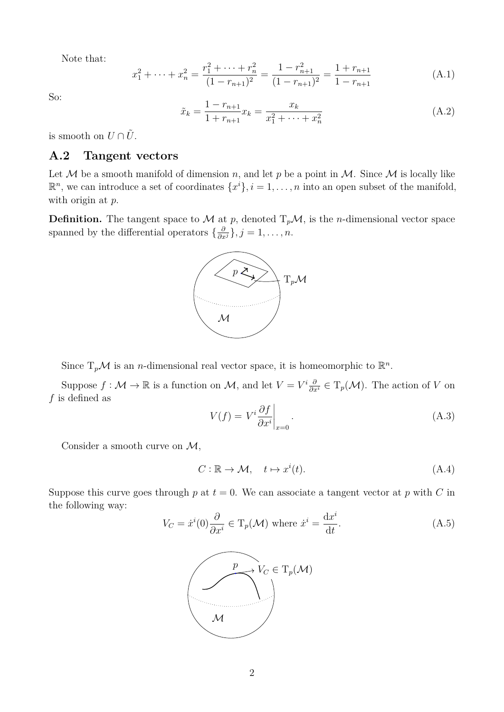Note that:

$$
x_1^2 + \dots + x_n^2 = \frac{r_1^2 + \dots + r_n^2}{(1 - r_{n+1})^2} = \frac{1 - r_{n+1}^2}{(1 - r_{n+1})^2} = \frac{1 + r_{n+1}}{1 - r_{n+1}}
$$
(A.1)

So:

$$
\tilde{x}_k = \frac{1 - r_{n+1}}{1 + r_{n+1}} x_k = \frac{x_k}{x_1^2 + \dots + x_n^2}
$$
\n(A.2)

is smooth on  $U \cap \tilde{U}$ .

## **A.2 Tangent vectors**

Let M be a smooth manifold of dimension *n*, and let p be a point in M. Since M is locally like  $\mathbb{R}^n$ , we can introduce a set of coordinates  $\{x^i\}, i = 1, \ldots, n$  into an open subset of the manifold, with origin at *p*.

**Definition.** The tangent space to  $\mathcal M$  at  $p$ , denoted  $T_p\mathcal M$ , is the *n*-dimensional vector space spanned by the differential operators  $\{\frac{\partial}{\partial x^j}\}, j = 1, \ldots, n$ .



Since  $T_p\mathcal{M}$  is an *n*-dimensional real vector space, it is homeomorphic to  $\mathbb{R}^n$ .

Suppose  $f : \mathcal{M} \to \mathbb{R}$  is a function on  $\mathcal{M}$ , and let  $V = V^i \frac{\partial}{\partial x^i} \in \mathrm{T}_p(\mathcal{M})$ . The action of *V* on *f* is defined as

$$
V(f) = V^i \frac{\partial f}{\partial x^i} \bigg|_{x=0}.
$$
\n(A.3)

Consider a smooth curve on  $\mathcal{M}$ ,

$$
C: \mathbb{R} \to \mathcal{M}, \quad t \mapsto x^i(t). \tag{A.4}
$$

Suppose this curve goes through  $p$  at  $t = 0$ . We can associate a tangent vector at  $p$  with  $C$  in the following way:

$$
V_C = \dot{x}^i(0)\frac{\partial}{\partial x^i} \in \mathcal{T}_p(\mathcal{M}) \text{ where } \dot{x}^i = \frac{\mathrm{d}x^i}{\mathrm{d}t}.\tag{A.5}
$$

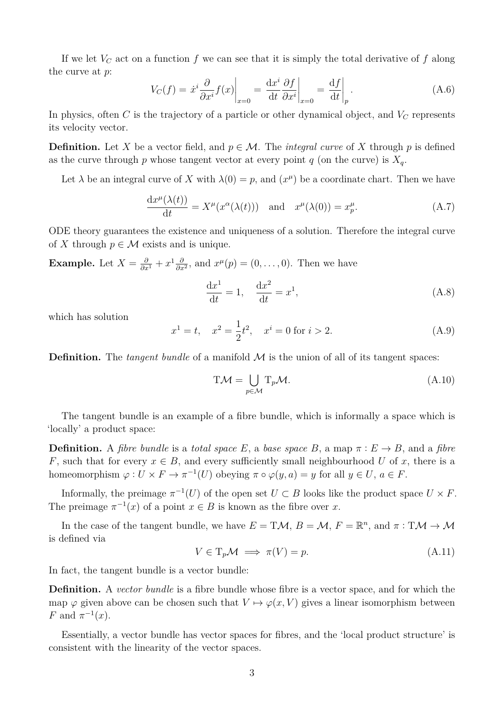If we let *V<sup>C</sup>* act on a function *f* we can see that it is simply the total derivative of *f* along the curve at *p*:

$$
V_C(f) = \dot{x}^i \frac{\partial}{\partial x^i} f(x) \bigg|_{x=0} = \frac{\mathrm{d}x^i}{\mathrm{d}t} \frac{\partial f}{\partial x^i} \bigg|_{x=0} = \frac{\mathrm{d}f}{\mathrm{d}t} \bigg|_p.
$$
 (A.6)

In physics, often *C* is the trajectory of a particle or other dynamical object, and *V<sup>C</sup>* represents its velocity vector.

**Definition.** Let *X* be a vector field, and  $p \in \mathcal{M}$ . The *integral curve* of *X* through *p* is defined as the curve through  $p$  whose tangent vector at every point  $q$  (on the curve) is  $X_q$ .

Let  $\lambda$  be an integral curve of X with  $\lambda(0) = p$ , and  $(x^{\mu})$  be a coordinate chart. Then we have

$$
\frac{\mathrm{d}x^{\mu}(\lambda(t))}{\mathrm{d}t} = X^{\mu}(x^{\alpha}(\lambda(t))) \quad \text{and} \quad x^{\mu}(\lambda(0)) = x_p^{\mu}.\tag{A.7}
$$

ODE theory guarantees the existence and uniqueness of a solution. Therefore the integral curve of X through  $p \in \mathcal{M}$  exists and is unique.

**Example.** Let  $X = \frac{\partial}{\partial x^1} + x^1 \frac{\partial}{\partial x^2}$  $\frac{\partial}{\partial x^2}$ , and  $x^{\mu}(p) = (0, \ldots, 0)$ . Then we have

$$
\frac{\mathrm{d}x^1}{\mathrm{d}t} = 1, \quad \frac{\mathrm{d}x^2}{\mathrm{d}t} = x^1,\tag{A.8}
$$

which has solution

$$
x^{1} = t, \quad x^{2} = \frac{1}{2}t^{2}, \quad x^{i} = 0 \text{ for } i > 2.
$$
 (A.9)

**Definition.** The *tangent bundle* of a manifold  $M$  is the union of all of its tangent spaces:

$$
T\mathcal{M} = \bigcup_{p \in \mathcal{M}} T_p \mathcal{M}.
$$
 (A.10)

The tangent bundle is an example of a fibre bundle, which is informally a space which is 'locally' a product space:

**Definition.** A *fibre bundle* is a *total space E*, a *base space B*, a map  $\pi : E \to B$ , and a *fibre F*, such that for every  $x \in B$ , and every sufficiently small neighbourhood *U* of *x*, there is a homeomorphism  $\varphi: U \times F \to \pi^{-1}(U)$  obeying  $\pi \circ \varphi(y, a) = y$  for all  $y \in U, a \in F$ .

Informally, the preimage  $\pi^{-1}(U)$  of the open set  $U \subset B$  looks like the product space  $U \times F$ . The preimage  $\pi^{-1}(x)$  of a point  $x \in B$  is known as the fibre over *x*.

In the case of the tangent bundle, we have  $E = T\mathcal{M}, B = \mathcal{M}, F = \mathbb{R}^n$ , and  $\pi : T\mathcal{M} \to \mathcal{M}$ is defined via

$$
V \in \mathrm{T}_p \mathcal{M} \implies \pi(V) = p. \tag{A.11}
$$

In fact, the tangent bundle is a vector bundle:

**Definition.** A *vector bundle* is a fibre bundle whose fibre is a vector space, and for which the map  $\varphi$  given above can be chosen such that  $V \mapsto \varphi(x, V)$  gives a linear isomorphism between *F* and  $\pi^{-1}(x)$ .

Essentially, a vector bundle has vector spaces for fibres, and the 'local product structure' is consistent with the linearity of the vector spaces.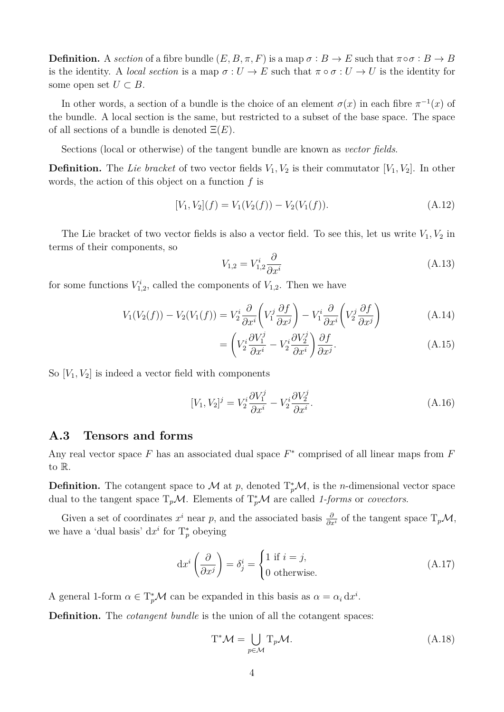**Definition.** A *section* of a fibre bundle  $(E, B, \pi, F)$  is a map  $\sigma : B \to E$  such that  $\pi \circ \sigma : B \to B$ is the identity. A *local section* is a map  $\sigma: U \to E$  such that  $\pi \circ \sigma: U \to U$  is the identity for some open set  $U \subset B$ .

In other words, a section of a bundle is the choice of an element  $\sigma(x)$  in each fibre  $\pi^{-1}(x)$  of the bundle. A local section is the same, but restricted to a subset of the base space. The space of all sections of a bundle is denoted Ξ(*E*).

Sections (local or otherwise) of the tangent bundle are known as *vector fields*.

**Definition.** The Lie bracket of two vector fields  $V_1, V_2$  is their commutator  $[V_1, V_2]$ . In other words, the action of this object on a function *f* is

$$
[V_1, V_2](f) = V_1(V_2(f)) - V_2(V_1(f)).
$$
\n(A.12)

The Lie bracket of two vector fields is also a vector field. To see this, let us write  $V_1, V_2$  in terms of their components, so

$$
V_{1,2} = V_{1,2}^i \frac{\partial}{\partial x^i} \tag{A.13}
$$

for some functions  $V_{1,2}^i$ , called the components of  $V_{1,2}$ . Then we have

$$
V_1(V_2(f)) - V_2(V_1(f)) = V_2^i \frac{\partial}{\partial x^i} \left( V_1^j \frac{\partial f}{\partial x^j} \right) - V_1^i \frac{\partial}{\partial x^i} \left( V_2^j \frac{\partial f}{\partial x^j} \right)
$$
(A.14)

$$
= \left(V_2^i \frac{\partial V_1^j}{\partial x^i} - V_2^i \frac{\partial V_2^j}{\partial x^i}\right) \frac{\partial f}{\partial x^j}.
$$
 (A.15)

So  $[V_1, V_2]$  is indeed a vector field with components

$$
[V_1, V_2]^j = V_2^i \frac{\partial V_1^j}{\partial x^i} - V_2^i \frac{\partial V_2^j}{\partial x^i}.
$$
\n(A.16)

### **A.3 Tensors and forms**

Any real vector space *F* has an associated dual space *F* ∗ comprised of all linear maps from *F* to R.

**Definition.** The cotangent space to M at p, denoted  $T_p^*\mathcal{M}$ , is the *n*-dimensional vector space dual to the tangent space  $T_p\mathcal{M}$ . Elements of  $T_p^*\mathcal{M}$  are called 1-forms or *covectors*.

Given a set of coordinates  $x^i$  near *p*, and the associated basis  $\frac{\partial}{\partial x^i}$  of the tangent space  $T_p\mathcal{M}$ , we have a 'dual basis'  $dx^i$  for  $T_p^*$  obeying

$$
dx^{i} \left( \frac{\partial}{\partial x^{j}} \right) = \delta_{j}^{i} = \begin{cases} 1 \text{ if } i = j, \\ 0 \text{ otherwise.} \end{cases}
$$
 (A.17)

A general 1-form  $\alpha \in T_p^*M$  can be expanded in this basis as  $\alpha = \alpha_i dx^i$ .

**Definition.** The *cotangent bundle* is the union of all the cotangent spaces:

$$
T^*\mathcal{M} = \bigcup_{p \in \mathcal{M}} T_p \mathcal{M}.
$$
 (A.18)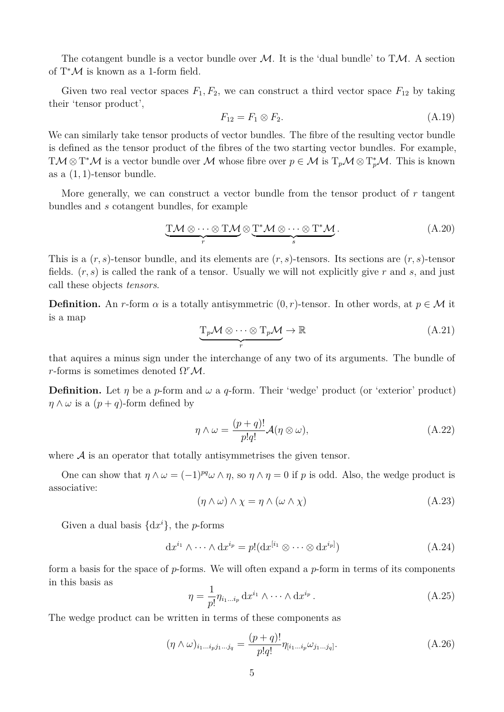The cotangent bundle is a vector bundle over  $\mathcal{M}$ . It is the 'dual bundle' to T $\mathcal{M}$ . A section of  $T^{\ast} \mathcal{M}$  is known as a 1-form field.

Given two real vector spaces  $F_1, F_2$ , we can construct a third vector space  $F_{12}$  by taking their 'tensor product',

$$
F_{12} = F_1 \otimes F_2. \tag{A.19}
$$

We can similarly take tensor products of vector bundles. The fibre of the resulting vector bundle is defined as the tensor product of the fibres of the two starting vector bundles. For example, TM  $\otimes$  T<sup>\*</sup>M is a vector bundle over M whose fibre over  $p \in M$  is  $T_pM \otimes T_p^*\mathcal{M}$ . This is known as a  $(1, 1)$ -tensor bundle.

More generally, we can construct a vector bundle from the tensor product of *r* tangent bundles and *s* cotangent bundles, for example

$$
\underbrace{\text{T}\mathcal{M}\otimes\cdots\otimes\text{T}\mathcal{M}}_{r}\otimes\underbrace{\text{T}^*\mathcal{M}\otimes\cdots\otimes\text{T}^*\mathcal{M}}_{s}.
$$
 (A.20)

This is a (*r, s*)-tensor bundle, and its elements are (*r, s*)-tensors. Its sections are (*r, s*)-tensor fields. (*r, s*) is called the rank of a tensor. Usually we will not explicitly give *r* and *s*, and just call these objects *tensors*.

**Definition.** An *r*-form  $\alpha$  is a totally antisymmetric  $(0, r)$ -tensor. In other words, at  $p \in \mathcal{M}$  it is a map

$$
\underbrace{T_p \mathcal{M} \otimes \cdots \otimes T_p \mathcal{M}}_{r} \to \mathbb{R}
$$
 (A.21)

that aquires a minus sign under the interchange of any two of its arguments. The bundle of *r*-forms is sometimes denoted  $\Omega^r \mathcal{M}$ .

**Definition.** Let  $\eta$  be a *p*-form and  $\omega$  a *q*-form. Their 'wedge' product (or 'exterior' product)  $\eta \wedge \omega$  is a  $(p+q)$ -form defined by

$$
\eta \wedge \omega = \frac{(p+q)!}{p!q!} \mathcal{A}(\eta \otimes \omega), \tag{A.22}
$$

where  $A$  is an operator that totally antisymmetrises the given tensor.

One can show that  $\eta \wedge \omega = (-1)^{pq} \omega \wedge \eta$ , so  $\eta \wedge \eta = 0$  if p is odd. Also, the wedge product is associative:

$$
(\eta \wedge \omega) \wedge \chi = \eta \wedge (\omega \wedge \chi) \tag{A.23}
$$

Given a dual basis  $\{dx^i\}$ , the *p*-forms

$$
dx^{i_1} \wedge \cdots \wedge dx^{i_p} = p!(dx^{[i_1} \otimes \cdots \otimes dx^{i_p]})
$$
\n(A.24)

form a basis for the space of *p*-forms. We will often expand a *p*-form in terms of its components in this basis as

$$
\eta = \frac{1}{p!} \eta_{i_1 \dots i_p} \, \mathrm{d} x^{i_1} \wedge \dots \wedge \mathrm{d} x^{i_p} \,. \tag{A.25}
$$

The wedge product can be written in terms of these components as

$$
(\eta \wedge \omega)_{i_1 \dots i_p j_1 \dots j_q} = \frac{(p+q)!}{p!q!} \eta_{[i_1 \dots i_p} \omega_{j_1 \dots j_q]}.
$$
\n(A.26)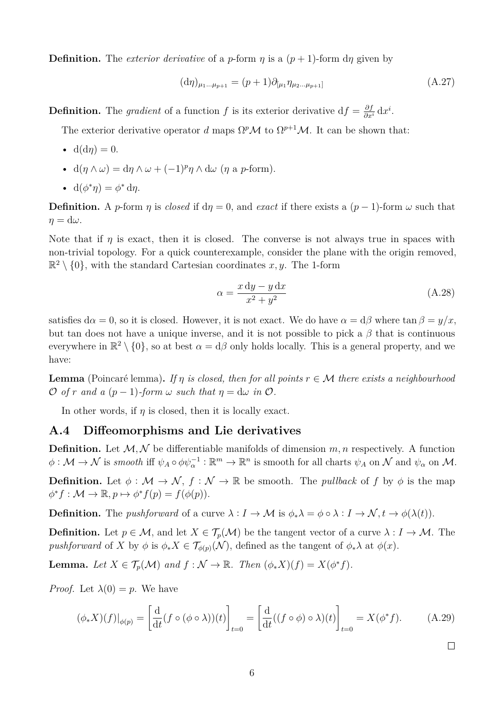**Definition.** The *exterior derivative* of a *p*-form  $\eta$  is a  $(p+1)$ -form  $d\eta$  given by

$$
(\mathrm{d}\eta)_{\mu_1...\mu_{p+1}} = (p+1)\partial_{[\mu_1}\eta_{\mu_2...\mu_{p+1}]}
$$
\n(A.27)

**Definition.** The gradient of a function f is its exterior derivative  $df = \frac{\partial f}{\partial x^i} dx^i$ .

The exterior derivative operator *d* maps  $\Omega^p \mathcal{M}$  to  $\Omega^{p+1} \mathcal{M}$ . It can be shown that:

- $d(d\eta) = 0$ .
- $d(\eta \wedge \omega) = d\eta \wedge \omega + (-1)^p \eta \wedge d\omega \quad (\eta \text{ a } p\text{-form}).$
- $d(\phi^*\eta) = \phi^* d\eta$ .

**Definition.** A *p*-form *η* is *closed* if  $d\eta = 0$ , and *exact* if there exists a  $(p-1)$ -form  $\omega$  such that  $\eta = d\omega$ .

Note that if  $\eta$  is exact, then it is closed. The converse is not always true in spaces with non-trivial topology. For a quick counterexample, consider the plane with the origin removed,  $\mathbb{R}^2 \setminus \{0\}$ , with the standard Cartesian coordinates x, y. The 1-form

$$
\alpha = \frac{x \, dy - y \, dx}{x^2 + y^2} \tag{A.28}
$$

satisfies  $d\alpha = 0$ , so it is closed. However, it is not exact. We do have  $\alpha = d\beta$  where  $\tan \beta = y/x$ , but tan does not have a unique inverse, and it is not possible to pick a  $\beta$  that is continuous everywhere in  $\mathbb{R}^2 \setminus \{0\}$ , so at best  $\alpha = d\beta$  only holds locally. This is a general property, and we have:

**Lemma** (Poincaré lemma). *If*  $\eta$  *is closed, then for all points*  $r \in \mathcal{M}$  *there exists a neighbourhood*  $\mathcal{O}$  *of*  $r$  *and*  $a$  ( $p-1$ )*-form*  $\omega$  *such that*  $\eta = d\omega$  *in*  $\mathcal{O}$ *.* 

In other words, if  $\eta$  is closed, then it is locally exact.

#### **A.4 Diffeomorphisms and Lie derivatives**

**Definition.** Let  $M, N$  be differentiable manifolds of dimension  $m, n$  respectively. A function  $\phi: \mathcal{M} \to \mathcal{N}$  is *smooth* iff  $\psi_A \circ \phi \psi_\alpha^{-1} : \mathbb{R}^m \to \mathbb{R}^n$  is smooth for all charts  $\psi_A$  on  $\mathcal{N}$  and  $\psi_\alpha$  on  $\mathcal{M}$ .

**Definition.** Let  $\phi : \mathcal{M} \to \mathcal{N}$ ,  $f : \mathcal{N} \to \mathbb{R}$  be smooth. The *pullback* of f by  $\phi$  is the map  $\phi^* f : \mathcal{M} \to \mathbb{R}, p \mapsto \phi^* f(p) = f(\phi(p)).$ 

**Definition.** The *pushforward* of a curve  $\lambda : I \to \mathcal{M}$  is  $\phi_*\lambda = \phi \circ \lambda : I \to \mathcal{N}, t \to \phi(\lambda(t)).$ 

**Definition.** Let  $p \in \mathcal{M}$ , and let  $X \in \mathcal{T}_p(\mathcal{M})$  be the tangent vector of a curve  $\lambda : I \to \mathcal{M}$ . The *pushforward* of *X* by  $\phi$  is  $\phi_* X \in \mathcal{T}_{\phi(p)}(\mathcal{N})$ , defined as the tangent of  $\phi_* \lambda$  at  $\phi(x)$ .

**Lemma.** Let  $X \in \mathcal{T}_p(\mathcal{M})$  and  $f : \mathcal{N} \to \mathbb{R}$ . Then  $(\phi_* X)(f) = X(\phi^* f)$ .

*Proof.* Let  $\lambda(0) = p$ . We have

$$
(\phi_* X)(f)|_{\phi(p)} = \left[\frac{\mathrm{d}}{\mathrm{d}t}(f \circ (\phi \circ \lambda))(t)\right]_{t=0} = \left[\frac{\mathrm{d}}{\mathrm{d}t}((f \circ \phi) \circ \lambda)(t)\right]_{t=0} = X(\phi^* f). \tag{A.29}
$$

 $\Box$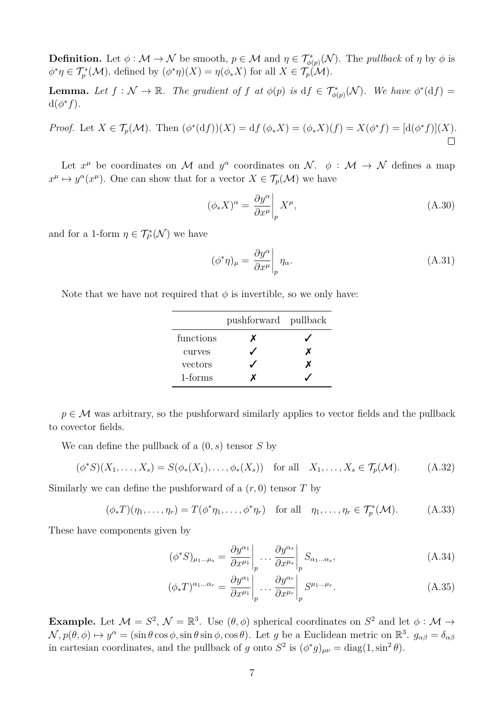**Definition.** Let  $\phi : \mathcal{M} \to \mathcal{N}$  be smooth,  $p \in \mathcal{M}$  and  $\eta \in \mathcal{T}_{\phi(p)}^*(\mathcal{N})$ . The *pullback* of  $\eta$  by  $\phi$  is  $\phi^*\eta \in \mathcal{T}_p^*(\mathcal{M})$ , defined by  $(\phi^*\eta)(X) = \eta(\phi_*X)$  for all  $X \in \mathcal{T}_p(\mathcal{M})$ .

**Lemma.** Let  $f : \mathcal{N} \to \mathbb{R}$ . The gradient of  $f$  at  $\phi(p)$  is  $df \in \mathcal{T}_{\phi(p)}^{*}(\mathcal{N})$ . We have  $\phi^{*}(df) =$  $d(\phi^* f)$ .

*Proof.* Let  $X \in \mathcal{T}_p(\mathcal{M})$ . Then  $(\phi^*(\mathrm{d}f))(X) = \mathrm{d}f(\phi^*X) = (\phi^*X)(f) = X(\phi^*f) = [\mathrm{d}(\phi^*f)](X)$ .

Let  $x^{\mu}$  be coordinates on M and  $y^{\alpha}$  coordinates on N.  $\phi : \mathcal{M} \to \mathcal{N}$  defines a map  $x^{\mu} \mapsto y^{\alpha}(x^{\mu})$ . One can show that for a vector  $X \in \mathcal{T}_p(\mathcal{M})$  we have

$$
(\phi_* X)^\alpha = \frac{\partial y^\alpha}{\partial x^\mu} \bigg|_p X^\mu,
$$
\n(A.30)

and for a 1-form  $\eta \in \mathcal{T}_{P}^{*}(\mathcal{N})$  we have

$$
(\phi^*\eta)_{\mu} = \frac{\partial y^{\alpha}}{\partial x^{\mu}} \bigg|_{p} \eta_{\alpha}.
$$
\n(A.31)

Note that we have not required that  $\phi$  is invertible, so we only have:

|           | pushforward pullback |   |
|-----------|----------------------|---|
| functions | x                    |   |
| curves    |                      | x |
| vectors   |                      | x |
| 1-forms   |                      |   |

 $p \in \mathcal{M}$  was arbitrary, so the pushforward similarly applies to vector fields and the pullback to covector fields.

We can define the pullback of a (0*, s*) tensor *S* by

$$
(\phi^*S)(X_1,\ldots,X_s) = S(\phi_*(X_1),\ldots,\phi_*(X_s)) \quad \text{for all} \quad X_1,\ldots,X_s \in \mathcal{T}_p(\mathcal{M}). \tag{A.32}
$$

Similarly we can define the pushforward of a  $(r, 0)$  tensor  $T$  by

 $(\phi_* T)(\eta_1, \dots, \eta_r) = T(\phi^* \eta_1, \dots, \phi^* \eta_r)$  for all  $\eta_1, \dots, \eta_r \in \mathcal{T}_p^*(\mathcal{M}).$  (A.33)

These have components given by

$$
(\phi^* S)_{\mu_1 \dots \mu_s} = \frac{\partial y^{\alpha_1}}{\partial x^{\mu_1}} \bigg|_p \dots \frac{\partial y^{\alpha_s}}{\partial x^{\mu_s}} \bigg|_p S_{\alpha_1 \dots \alpha_s}, \tag{A.34}
$$

$$
(\phi_* T)^{\alpha_1 \dots \alpha_r} = \left. \frac{\partial y^{\alpha_1}}{\partial x^{\mu_1}} \right|_p \dots \left. \frac{\partial y^{\alpha_r}}{\partial x^{\mu_r}} \right|_p S^{\mu_1 \dots \mu_r}.
$$
 (A.35)

**Example.** Let  $\mathcal{M} = S^2$ ,  $\mathcal{N} = \mathbb{R}^3$ . Use  $(\theta, \phi)$  spherical coordinates on  $S^2$  and let  $\phi : \mathcal{M} \to$  $\mathcal{N}, p(\theta, \phi) \mapsto y^{\alpha} = (\sin \theta \cos \phi, \sin \theta \sin \phi, \cos \theta)$ . Let *g* be a Euclidean metric on  $\mathbb{R}^{3}$ .  $g_{\alpha\beta} = \delta_{\alpha\beta}$ in cartesian coordinates, and the pullback of *g* onto  $S^2$  is  $(\phi^* g)_{\mu\nu} = \text{diag}(1, \sin^2 \theta)$ .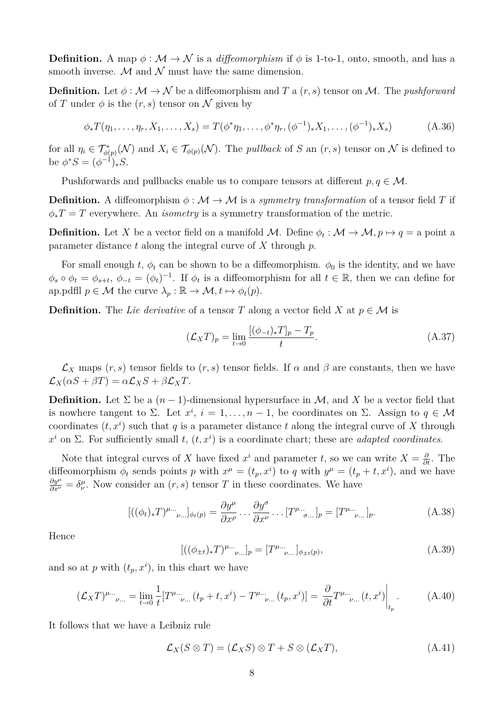**Definition.** A map  $\phi : \mathcal{M} \to \mathcal{N}$  is a *diffeomorphism* if  $\phi$  is 1-to-1, onto, smooth, and has a smooth inverse.  $M$  and  $N$  must have the same dimension.

**Definition.** Let  $\phi : \mathcal{M} \to \mathcal{N}$  be a diffeomorphism and *T* a  $(r, s)$  tensor on *M*. The *pushforward* of *T* under  $\phi$  is the  $(r, s)$  tensor on  $\mathcal N$  given by

$$
\phi_* T(\eta_1, \dots, \eta_r, X_1, \dots, X_s) = T(\phi^* \eta_1, \dots, \phi^* \eta_r, (\phi^{-1})_* X_1, \dots, (\phi^{-1})_* X_s)
$$
(A.36)

for all  $\eta_i \in \mathcal{T}_{\phi(p)}^*(\mathcal{N})$  and  $X_i \in \mathcal{T}_{\phi(p)}(\mathcal{N})$ . The *pullback* of *S* an  $(r, s)$  tensor on  $\mathcal{N}$  is defined to be  $\phi^* S = (\phi^{-1})_* S$ .

Pushforwards and pullbacks enable us to compare tensors at different  $p, q \in \mathcal{M}$ .

**Definition.** A diffeomorphism  $\phi : \mathcal{M} \to \mathcal{M}$  is a *symmetry transformation* of a tensor field *T* if  $\phi_*T = T$  everywhere. An *isometry* is a symmetry transformation of the metric.

**Definition.** Let X be a vector field on a manifold M. Define  $\phi_t : \mathcal{M} \to \mathcal{M}, p \mapsto q =$  a point a parameter distance *t* along the integral curve of *X* through *p*.

For small enough *t*,  $\phi_t$  can be shown to be a diffeomorphism.  $\phi_0$  is the identity, and we have  $\phi_s \circ \phi_t = \phi_{s+t}, \ \phi_{-t} = (\phi_t)^{-1}$ . If  $\phi_t$  is a diffeomorphism for all  $t \in \mathbb{R}$ , then we can define for ap.pdfll  $p \in \mathcal{M}$  the curve  $\lambda_p : \mathbb{R} \to \mathcal{M}, t \mapsto \phi_t(p)$ .

**Definition.** The Lie derivative of a tensor T along a vector field X at  $p \in M$  is

$$
(\mathcal{L}_X T)_p = \lim_{t \to 0} \frac{[(\phi_{-t})_* T]_p - T_p}{t}.
$$
\n(A.37)

 $\mathcal{L}_X$  maps  $(r, s)$  tensor fields to  $(r, s)$  tensor fields. If  $\alpha$  and  $\beta$  are constants, then we have  $\mathcal{L}_X(\alpha S + \beta T) = \alpha \mathcal{L}_X S + \beta \mathcal{L}_X T$ .

**Definition.** Let  $\Sigma$  be a  $(n-1)$ -dimensional hypersurface in M, and X be a vector field that is nowhere tangent to  $\Sigma$ . Let  $x^i$ ,  $i = 1, ..., n-1$ , be coordinates on  $\Sigma$ . Assign to  $q \in \mathcal{M}$ coordinates  $(t, x^i)$  such that  $q$  is a parameter distance  $t$  along the integral curve of  $X$  through  $x^i$  on  $\Sigma$ . For sufficiently small *t*,  $(t, x^i)$  is a coordinate chart; these are *adapted coordinates*.

Note that integral curves of *X* have fixed  $x^i$  and parameter *t*, so we can write  $X = \frac{\partial}{\partial t}$ . The diffeomorphism  $\phi_t$  sends points *p* with  $x^{\mu} = (t_p, x^i)$  to *q* with  $y^{\mu} = (t_p + t, x^i)$ , and we have  $\frac{\partial y^{\mu}}{\partial x^{\nu}} = \delta^{\mu}_{\nu}$ . Now consider an  $(r, s)$  tensor *T* in these coordinates. We have

$$
[((\phi_t)_*T)^{\mu...}{}_{\nu...} ]_{\phi_t(p)} = \frac{\partial y^{\mu}}{\partial x^{\rho}} \dots \frac{\partial y^{\sigma}}{\partial x^{\nu}} \dots [T^{\rho...}{}_{\sigma...}]_p = [T^{\mu...}{}_{\nu...}]_p.
$$
 (A.38)

Hence

$$
[((\phi_{\pm t})_*T)^{\mu...}{}_{\nu...}]_p = [T^{\mu...}{}_{\nu...}]_{\phi_{\mp t}(p)},
$$
\n(A.39)

and so at *p* with  $(t_p, x^i)$ , in this chart we have

$$
(\mathcal{L}_X T)^{\mu...}{}_{\nu...} = \lim_{t \to 0} \frac{1}{t} [T^{\mu...}{}_{\nu...}(t_p + t, x^i) - T^{\mu...}{}_{\nu...}(t_p, x^i)] = \frac{\partial}{\partial t} T^{\mu...}{}_{\nu...}(t, x^i) \Big|_{t_p}.
$$
 (A.40)

It follows that we have a Leibniz rule

$$
\mathcal{L}_X(S \otimes T) = (\mathcal{L}_X S) \otimes T + S \otimes (\mathcal{L}_X T), \tag{A.41}
$$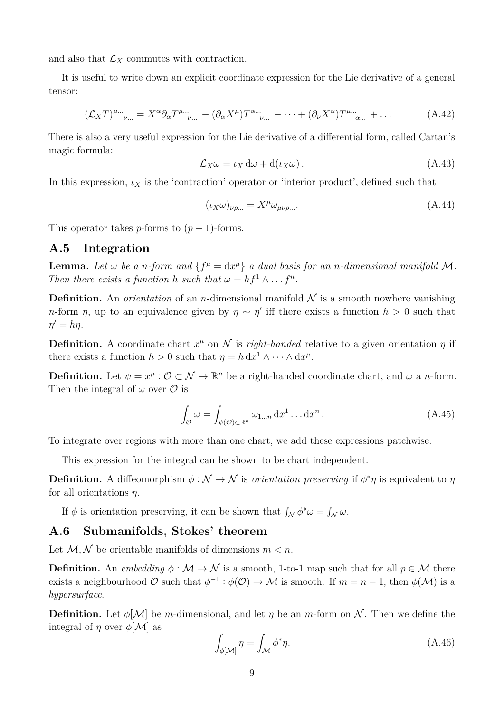and also that  $\mathcal{L}_X$  commutes with contraction.

It is useful to write down an explicit coordinate expression for the Lie derivative of a general tensor:

$$
(\mathcal{L}_X T)^{\mu\dots}_{\nu\dots} = X^{\alpha} \partial_{\alpha} T^{\mu\dots}_{\nu\dots} - (\partial_{\alpha} X^{\mu}) T^{\alpha\dots}_{\nu\dots} - \dots + (\partial_{\nu} X^{\alpha}) T^{\mu\dots}_{\alpha\dots} + \dots \tag{A.42}
$$

There is also a very useful expression for the Lie derivative of a differential form, called Cartan's magic formula:

$$
\mathcal{L}_X \omega = \iota_X \, \mathrm{d}\omega + \mathrm{d}(\iota_X \omega) \,. \tag{A.43}
$$

In this expression,  $\iota_X$  is the 'contraction' operator or 'interior product', defined such that

$$
(\iota_X \omega)_{\nu\rho\ldots} = X^{\mu} \omega_{\mu\nu\rho\ldots}.
$$
\n(A.44)

This operator takes *p*-forms to  $(p-1)$ -forms.

#### **A.5 Integration**

**Lemma.** Let  $\omega$  be a *n*-form and  $\{f^{\mu} = dx^{\mu}\}\$ a dual basis for an *n*-dimensional manifold M. *Then there exists a function h such that*  $\omega = hf^1 \wedge \dots f^n$ .

**Definition.** An *orientation* of an *n*-dimensional manifold  $N$  is a smooth nowhere vanishing *n*-form *η*, up to an equivalence given by  $\eta \sim \eta'$  iff there exists a function  $h > 0$  such that  $\eta' = h\eta$ .

**Definition.** A coordinate chart  $x^{\mu}$  on N is *right-handed* relative to a given orientation  $\eta$  if there exists a function  $h > 0$  such that  $\eta = h \, dx^1 \wedge \cdots \wedge dx^{\mu}$ .

**Definition.** Let  $\psi = x^{\mu}$ :  $\mathcal{O} \subset \mathcal{N} \to \mathbb{R}^n$  be a right-handed coordinate chart, and  $\omega$  a *n*-form. Then the integral of  $\omega$  over  $\mathcal O$  is

$$
\int_{\mathcal{O}} \omega = \int_{\psi(\mathcal{O}) \subset \mathbb{R}^n} \omega_{1...n} \, dx^1 \dots dx^n.
$$
\n(A.45)

To integrate over regions with more than one chart, we add these expressions patchwise.

This expression for the integral can be shown to be chart independent.

**Definition.** A diffeomorphism  $\phi : \mathcal{N} \to \mathcal{N}$  is *orientation preserving* if  $\phi^*\eta$  is equivalent to  $\eta$ for all orientations *η*.

If  $\phi$  is orientation preserving, it can be shown that  $\int_{\mathcal{N}} \phi^* \omega = \int_{\mathcal{N}} \omega$ .

#### **A.6 Submanifolds, Stokes' theorem**

Let  $M, N$  be orientable manifolds of dimensions  $m < n$ .

**Definition.** An *embedding*  $\phi : \mathcal{M} \to \mathcal{N}$  is a smooth, 1-to-1 map such that for all  $p \in \mathcal{M}$  there exists a neighbourhood  $\mathcal{O}$  such that  $\phi^{-1} : \phi(\mathcal{O}) \to \mathcal{M}$  is smooth. If  $m = n - 1$ , then  $\phi(\mathcal{M})$  is a *hypersurface*.

**Definition.** Let  $\phi[\mathcal{M}]$  be *m*-dimensional, and let *η* be an *m*-form on N. Then we define the integral of  $\eta$  over  $\phi[\mathcal{M}]$  as

$$
\int_{\phi[\mathcal{M}]} \eta = \int_{\mathcal{M}} \phi^* \eta. \tag{A.46}
$$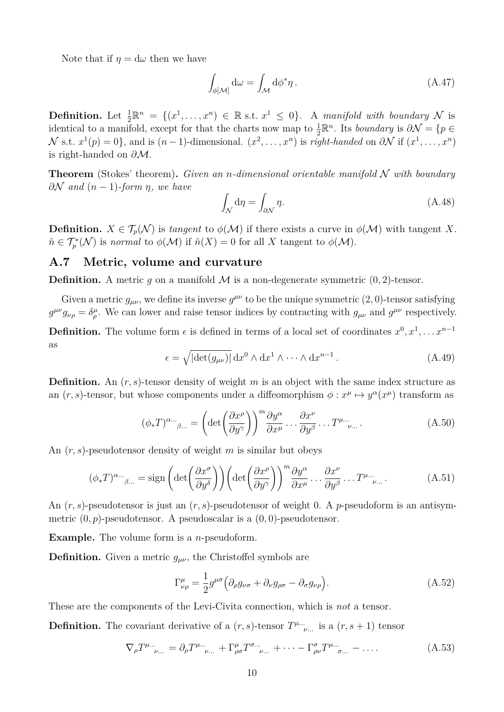Note that if  $\eta = d\omega$  then we have

$$
\int_{\phi[\mathcal{M}]} \mathrm{d}\omega = \int_{\mathcal{M}} \mathrm{d}\phi^* \eta \,. \tag{A.47}
$$

**Definition.** Let  $\frac{1}{2}\mathbb{R}^n = \{(x^1, \ldots, x^n) \in \mathbb{R} \text{ s.t. } x^1 \leq 0\}$ . A *manifold with boundary* N is identical to a manifold, except for that the charts now map to  $\frac{1}{2}\mathbb{R}^n$ . Its *boundary* is  $\partial \mathcal{N} = \{p \in$  $\mathcal{N}$  s.t.  $x^1(p) = 0$ , and is  $(n-1)$ -dimensional.  $(x^2, \ldots, x^n)$  is *right-handed* on  $\partial \mathcal{N}$  if  $(x^1, \ldots, x^n)$ is right-handed on *∂*M.

**Theorem** (Stokes' theorem)**.** *Given an n-dimensional orientable manifold* N *with boundary ∂*N *and* (*n* − 1)*-form η, we have*

$$
\int_{\mathcal{N}} d\eta = \int_{\partial \mathcal{N}} \eta. \tag{A.48}
$$

**Definition.**  $X \in \mathcal{T}_p(\mathcal{N})$  is *tangent* to  $\phi(\mathcal{M})$  if there exists a curve in  $\phi(\mathcal{M})$  with tangent X.  $\tilde{n} \in \mathcal{T}_{p}^{*}(\mathcal{N})$  is *normal* to  $\phi(\mathcal{M})$  if  $\tilde{n}(X) = 0$  for all X tangent to  $\phi(\mathcal{M})$ .

## **A.7 Metric, volume and curvature**

**Definition.** A metric q on a manifold  $\mathcal{M}$  is a non-degenerate symmetric  $(0, 2)$ -tensor.

Given a metric  $g_{\mu\nu}$ , we define its inverse  $g^{\mu\nu}$  to be the unique symmetric  $(2,0)$ -tensor satisfying  $g^{\mu\nu}g_{\nu\rho} = \delta^{\mu}_{\rho}$ . We can lower and raise tensor indices by contracting with  $g_{\mu\nu}$  and  $g^{\mu\nu}$  respectively. **Definition.** The volume form  $\epsilon$  is defined in terms of a local set of coordinates  $x^0, x^1, \ldots x^{n-1}$ as

$$
\epsilon = \sqrt{|\det(g_{\mu\nu})|} \, dx^0 \wedge dx^1 \wedge \cdots \wedge dx^{n-1} \,. \tag{A.49}
$$

**Definition.** An  $(r, s)$ -tensor density of weight *m* is an object with the same index structure as an  $(r, s)$ -tensor, but whose components under a diffeomorphism  $\phi: x^{\mu} \mapsto y^{\alpha}(x^{\mu})$  transform as

$$
(\phi_* T)^{\alpha \dots}_{\beta \dots} = \left( \det \left( \frac{\partial x^{\rho}}{\partial y^{\gamma}} \right) \right)^m \frac{\partial y^{\alpha}}{\partial x^{\mu}} \dots \frac{\partial x^{\nu}}{\partial y^{\beta}} \dots T^{\mu \dots}.
$$
 (A.50)

An (*r, s*)-pseudotensor density of weight *m* is similar but obeys

$$
(\phi_* T)^{\alpha \dots}_{\beta \dots} = \text{sign}\left(\det\left(\frac{\partial x^{\sigma}}{\partial y^{\delta}}\right)\right) \left(\det\left(\frac{\partial x^{\rho}}{\partial y^{\gamma}}\right)\right)^m \frac{\partial y^{\alpha}}{\partial x^{\mu}} \dots \frac{\partial x^{\nu}}{\partial y^{\beta}} \dots T^{\mu \dots}.
$$
 (A.51)

An (*r, s*)-pseudotensor is just an (*r, s*)-pseudotensor of weight 0. A *p*-pseudoform is an antisymmetric (0*, p*)-pseudotensor. A pseudoscalar is a (0*,* 0)-pseudotensor.

**Example.** The volume form is a *n*-pseudoform.

**Definition.** Given a metric  $g_{\mu\nu}$ , the Christoffel symbols are

$$
\Gamma^{\mu}_{\nu\rho} = \frac{1}{2} g^{\mu\sigma} \Big( \partial_{\rho} g_{\nu\sigma} + \partial_{\nu} g_{\rho\sigma} - \partial_{\sigma} g_{\nu\rho} \Big). \tag{A.52}
$$

These are the components of the Levi-Civita connection, which is *not* a tensor.

**Definition.** The covariant derivative of a  $(r, s)$ -tensor  $T^{\mu}$ <sup>...</sup>, is a  $(r, s + 1)$  tensor

$$
\nabla_{\rho} T^{\mu...}_{\nu...} = \partial_{\rho} T^{\mu...}_{\nu...} + \Gamma^{\mu}_{\rho\sigma} T^{\sigma...}_{\nu...} + \cdots - \Gamma^{\sigma}_{\rho\nu} T^{\mu...}_{\sigma...} - \cdots. \tag{A.53}
$$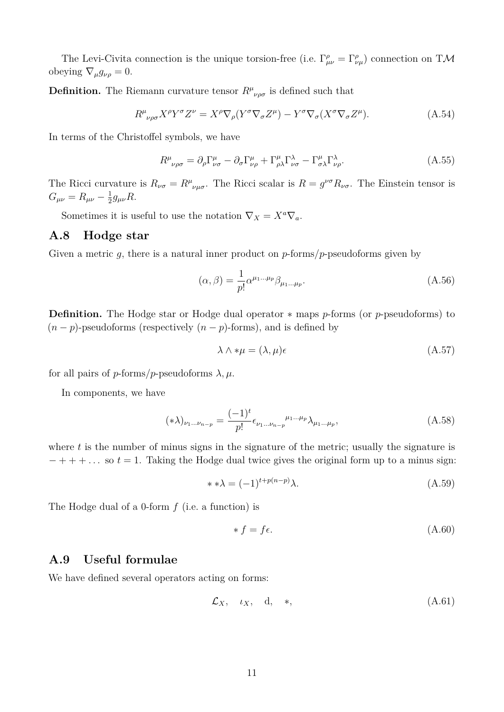The Levi-Civita connection is the unique torsion-free (i.e.  $\Gamma^{\rho}_{\mu\nu} = \Gamma^{\rho}_{\nu\mu}$ ) connection on TM obeying  $\nabla_{\mu}g_{\nu\rho} = 0.$ 

**Definition.** The Riemann curvature tensor  $R^{\mu}{}_{\nu\rho\sigma}$  is defined such that

$$
R^{\mu}{}_{\nu\rho\sigma}X^{\rho}Y^{\sigma}Z^{\nu} = X^{\rho}\nabla_{\rho}(Y^{\sigma}\nabla_{\sigma}Z^{\mu}) - Y^{\sigma}\nabla_{\sigma}(X^{\sigma}\nabla_{\sigma}Z^{\mu}).
$$
\n(A.54)

In terms of the Christoffel symbols, we have

$$
R^{\mu}_{\ \nu\rho\sigma} = \partial_{\rho} \Gamma^{\mu}_{\nu\sigma} - \partial_{\sigma} \Gamma^{\mu}_{\nu\rho} + \Gamma^{\mu}_{\rho\lambda} \Gamma^{\lambda}_{\nu\sigma} - \Gamma^{\mu}_{\sigma\lambda} \Gamma^{\lambda}_{\nu\rho}.
$$
 (A.55)

The Ricci curvature is  $R_{\nu\sigma} = R^{\mu}{}_{\nu\mu\sigma}$ . The Ricci scalar is  $R = g^{\nu\sigma}R_{\nu\sigma}$ . The Einstein tensor is  $G_{\mu\nu} = R_{\mu\nu} - \frac{1}{2}$  $\frac{1}{2}g_{\mu\nu}R$ .

Sometimes it is useful to use the notation  $\nabla_X = X^a \nabla_a$ .

## **A.8 Hodge star**

Given a metric *g*, there is a natural inner product on *p*-forms/*p*-pseudoforms given by

$$
(\alpha, \beta) = \frac{1}{p!} \alpha^{\mu_1 \dots \mu_p} \beta_{\mu_1 \dots \mu_p}.
$$
\n(A.56)

**Definition.** The Hodge star or Hodge dual operator ∗ maps *p*-forms (or *p*-pseudoforms) to  $(n-p)$ -pseudoforms (respectively  $(n-p)$ -forms), and is defined by

$$
\lambda \wedge * \mu = (\lambda, \mu)\epsilon \tag{A.57}
$$

for all pairs of *p*-forms/*p*-pseudoforms  $\lambda, \mu$ .

In components, we have

$$
(\ast \lambda)_{\nu_1...\nu_{n-p}} = \frac{(-1)^t}{p!} \epsilon_{\nu_1...\nu_{n-p}}^{\mu_1...\mu_p} \lambda_{\mu_1...\mu_p},\tag{A.58}
$$

where  $t$  is the number of minus signs in the signature of the metric; usually the signature is  $- + + + \ldots$  so  $t = 1$ . Taking the Hodge dual twice gives the original form up to a minus sign:

$$
**\lambda = (-1)^{t+p(n-p)}\lambda.
$$
\n(A.59)

The Hodge dual of a 0-form *f* (i.e. a function) is

$$
* f = f \epsilon. \tag{A.60}
$$

## **A.9 Useful formulae**

We have defined several operators acting on forms:

$$
\mathcal{L}_X, \quad \iota_X, \quad \mathbf{d}, \quad *, \tag{A.61}
$$